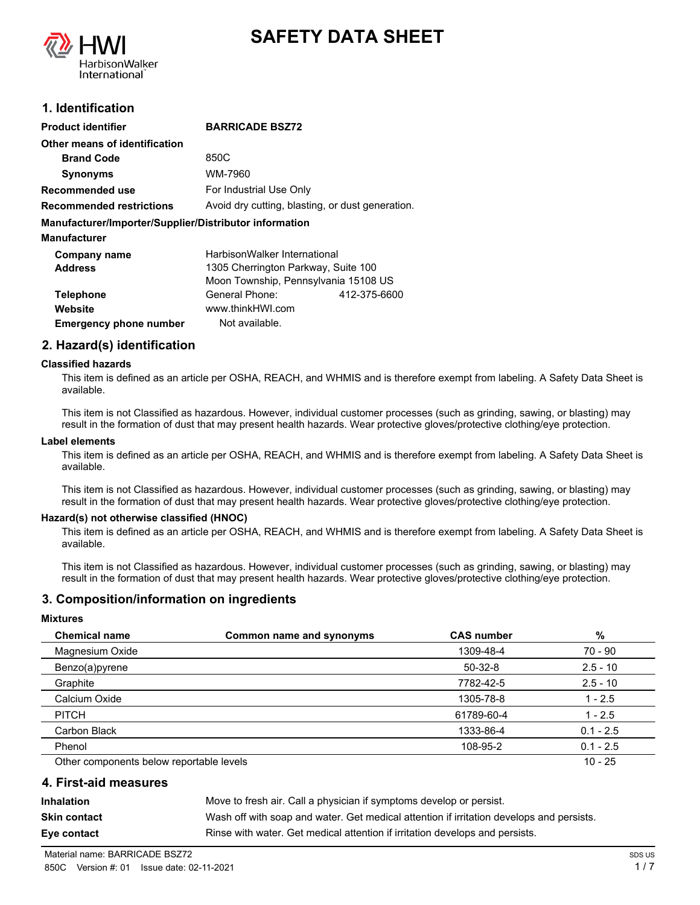



## **1. Identification**

| <b>BARRICADE BSZ72</b>                                 |  |  |
|--------------------------------------------------------|--|--|
|                                                        |  |  |
| 850C                                                   |  |  |
| WM-7960                                                |  |  |
| For Industrial Use Only                                |  |  |
| Avoid dry cutting, blasting, or dust generation.       |  |  |
| Manufacturer/Importer/Supplier/Distributor information |  |  |
|                                                        |  |  |
| HarbisonWalker International                           |  |  |
| 1305 Cherrington Parkway, Suite 100                    |  |  |
| Moon Township, Pennsylvania 15108 US                   |  |  |
| General Phone:<br>412-375-6600                         |  |  |
| www.thinkHWI.com                                       |  |  |
| Not available.                                         |  |  |
|                                                        |  |  |

### **2. Hazard(s) identification**

#### **Classified hazards**

This item is defined as an article per OSHA, REACH, and WHMIS and is therefore exempt from labeling. A Safety Data Sheet is available.

This item is not Classified as hazardous. However, individual customer processes (such as grinding, sawing, or blasting) may result in the formation of dust that may present health hazards. Wear protective gloves/protective clothing/eye protection.

#### **Label elements**

This item is defined as an article per OSHA, REACH, and WHMIS and is therefore exempt from labeling. A Safety Data Sheet is available.

This item is not Classified as hazardous. However, individual customer processes (such as grinding, sawing, or blasting) may result in the formation of dust that may present health hazards. Wear protective gloves/protective clothing/eye protection.

#### **Hazard(s) not otherwise classified (HNOC)**

This item is defined as an article per OSHA, REACH, and WHMIS and is therefore exempt from labeling. A Safety Data Sheet is available.

This item is not Classified as hazardous. However, individual customer processes (such as grinding, sawing, or blasting) may result in the formation of dust that may present health hazards. Wear protective gloves/protective clothing/eye protection.

### **3. Composition/information on ingredients**

#### **Mixtures**

| <b>Chemical name</b>                     | Common name and synonyms | <b>CAS number</b> | %           |
|------------------------------------------|--------------------------|-------------------|-------------|
| Magnesium Oxide                          |                          | 1309-48-4         | 70 - 90     |
| Benzo(a)pyrene                           |                          | $50-32-8$         | $2.5 - 10$  |
| Graphite                                 |                          | 7782-42-5         | $2.5 - 10$  |
| Calcium Oxide                            |                          | 1305-78-8         | $1 - 2.5$   |
| <b>PITCH</b>                             |                          | 61789-60-4        | $1 - 2.5$   |
| Carbon Black                             |                          | 1333-86-4         | $0.1 - 2.5$ |
| Phenol                                   |                          | 108-95-2          | $0.1 - 2.5$ |
| Other components below reportable levels |                          |                   | $10 - 25$   |

### **4. First-aid measures**

**Inhalation** Move to fresh air. Call a physician if symptoms develop or persist. **Skin contact** Wash off with soap and water. Get medical attention if irritation develops and persists. **Eye contact Rinse with water. Get medical attention if irritation develops and persists.**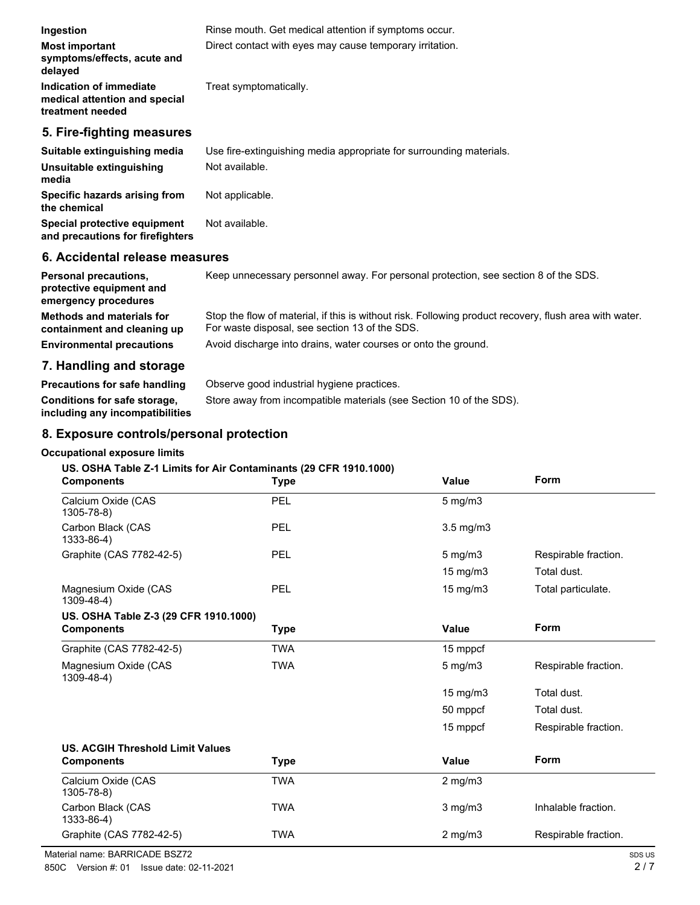| Ingestion                                                                        | Rinse mouth. Get medical attention if symptoms occur.                               |
|----------------------------------------------------------------------------------|-------------------------------------------------------------------------------------|
| <b>Most important</b><br>symptoms/effects, acute and<br>delayed                  | Direct contact with eyes may cause temporary irritation.                            |
| Indication of immediate<br>medical attention and special<br>treatment needed     | Treat symptomatically.                                                              |
| 5. Fire-fighting measures                                                        |                                                                                     |
| Suitable extinguishing media                                                     | Use fire-extinguishing media appropriate for surrounding materials.                 |
| Unsuitable extinguishing<br>media                                                | Not available.                                                                      |
| Specific hazards arising from<br>the chemical                                    | Not applicable.                                                                     |
| Special protective equipment<br>and precautions for firefighters                 | Not available.                                                                      |
| 6. Accidental release measures                                                   |                                                                                     |
| <b>Personal precautions,</b><br>protective equipment and<br>emergency procedures | Keep unnecessary personnel away. For personal protection, see section 8 of the SDS. |

| Methods and materials for        | Stop the flow of material, if this is without risk. Following product recovery, flush area with water. |
|----------------------------------|--------------------------------------------------------------------------------------------------------|
| containment and cleaning up      | For waste disposal, see section 13 of the SDS.                                                         |
| <b>Environmental precautions</b> | Avoid discharge into drains, water courses or onto the ground.                                         |

# **7. Handling and storage**

**Precautions for safe handling** Observe good industrial hygiene practices. **Conditions for safe storage,** Store away from incompatible materials (see Section 10 of the SDS). **including any incompatibilities**

### **8. Exposure controls/personal protection**

### **Occupational exposure limits**

#### **US. OSHA Table Z-1 Limits for Air Contaminants (29 CFR 1910.1000)**

| <b>Components</b>                         | <b>Type</b> | <b>Value</b>   | Form                 |
|-------------------------------------------|-------------|----------------|----------------------|
| Calcium Oxide (CAS<br>$1305 - 78 - 8$     | PEL         | $5$ mg/m $3$   |                      |
| Carbon Black (CAS<br>1333-86-4)           | PEL         | $3.5$ mg/m $3$ |                      |
| Graphite (CAS 7782-42-5)                  | PEL         | $5$ mg/m $3$   | Respirable fraction. |
|                                           |             | 15 mg/m3       | Total dust.          |
| Magnesium Oxide (CAS<br>$1309 - 48 - 4$ ) | PEL         | 15 mg/m3       | Total particulate.   |
| US. OSHA Table Z-3 (29 CFR 1910.1000)     |             |                |                      |
| <b>Components</b>                         | <b>Type</b> | <b>Value</b>   | Form                 |
| Graphite (CAS 7782-42-5)                  | TWA         | 15 mppcf       |                      |
| Magnesium Oxide (CAS<br>$1309 - 48 - 4$ ) | <b>TWA</b>  | $5$ mg/m $3$   | Respirable fraction. |
|                                           |             | 15 mg/m3       | Total dust.          |
|                                           |             | 50 mppcf       | Total dust.          |
|                                           |             | 15 mppcf       | Respirable fraction. |
| <b>US. ACGIH Threshold Limit Values</b>   |             |                |                      |
| <b>Components</b>                         | <b>Type</b> | <b>Value</b>   | Form                 |
| Calcium Oxide (CAS<br>$1305 - 78 - 8$     | <b>TWA</b>  | $2$ mg/m $3$   |                      |
| Carbon Black (CAS<br>1333-86-4)           | <b>TWA</b>  | $3$ mg/m $3$   | Inhalable fraction.  |
| Graphite (CAS 7782-42-5)                  | <b>TWA</b>  | $2$ mg/m $3$   | Respirable fraction. |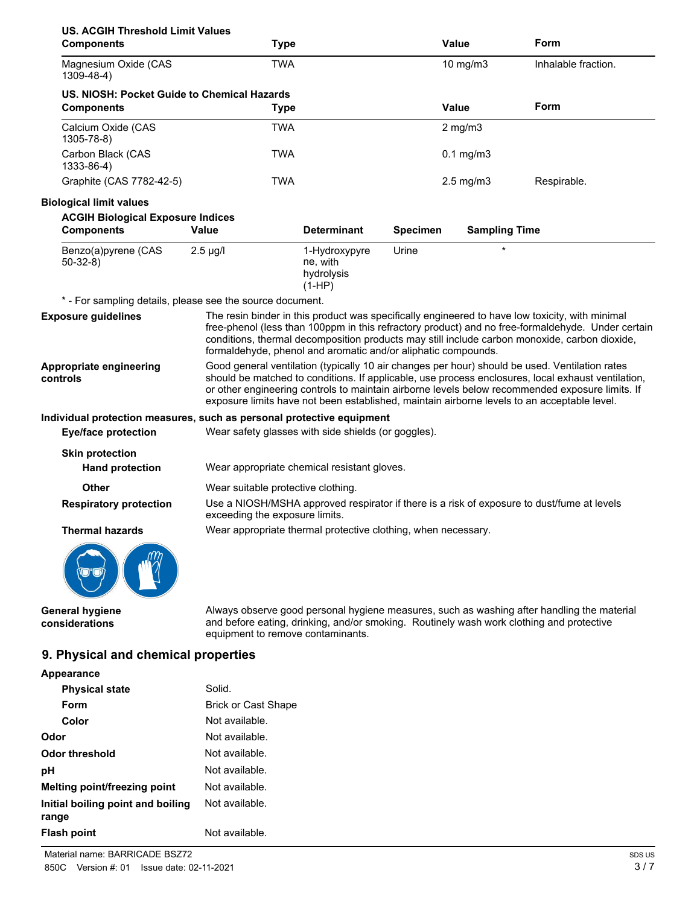| <b>US. ACGIH Threshold Limit Values</b><br><b>Components</b>          | <b>Type</b>                                                                                                                                                                                                                                                                                                                                                                                            |                                                               |                 | <b>Value</b>         | Form                                                                                                                                                                                                                                                                                                  |
|-----------------------------------------------------------------------|--------------------------------------------------------------------------------------------------------------------------------------------------------------------------------------------------------------------------------------------------------------------------------------------------------------------------------------------------------------------------------------------------------|---------------------------------------------------------------|-----------------|----------------------|-------------------------------------------------------------------------------------------------------------------------------------------------------------------------------------------------------------------------------------------------------------------------------------------------------|
| Magnesium Oxide (CAS<br>$1309 - 48 - 4$ )                             | <b>TWA</b>                                                                                                                                                                                                                                                                                                                                                                                             |                                                               |                 | 10 mg/m3             | Inhalable fraction.                                                                                                                                                                                                                                                                                   |
| US. NIOSH: Pocket Guide to Chemical Hazards<br><b>Components</b>      | <b>Type</b>                                                                                                                                                                                                                                                                                                                                                                                            |                                                               |                 | <b>Value</b>         | Form                                                                                                                                                                                                                                                                                                  |
| Calcium Oxide (CAS<br>$1305 - 78 - 8$                                 | <b>TWA</b>                                                                                                                                                                                                                                                                                                                                                                                             |                                                               |                 | $2$ mg/m $3$         |                                                                                                                                                                                                                                                                                                       |
| Carbon Black (CAS<br>1333-86-4)                                       | <b>TWA</b>                                                                                                                                                                                                                                                                                                                                                                                             |                                                               |                 | $0.1$ mg/m $3$       |                                                                                                                                                                                                                                                                                                       |
| Graphite (CAS 7782-42-5)                                              | <b>TWA</b>                                                                                                                                                                                                                                                                                                                                                                                             |                                                               |                 | $2.5 \text{ mg/m}$ 3 | Respirable.                                                                                                                                                                                                                                                                                           |
| <b>Biological limit values</b>                                        |                                                                                                                                                                                                                                                                                                                                                                                                        |                                                               |                 |                      |                                                                                                                                                                                                                                                                                                       |
| <b>ACGIH Biological Exposure Indices</b>                              |                                                                                                                                                                                                                                                                                                                                                                                                        |                                                               |                 |                      |                                                                                                                                                                                                                                                                                                       |
| <b>Components</b>                                                     | Value                                                                                                                                                                                                                                                                                                                                                                                                  | <b>Determinant</b>                                            | <b>Specimen</b> | <b>Sampling Time</b> |                                                                                                                                                                                                                                                                                                       |
| Benzo(a)pyrene (CAS<br>$50-32-8$                                      | $2.5 \mu g/l$                                                                                                                                                                                                                                                                                                                                                                                          | 1-Hydroxypyre<br>ne, with<br>hydrolysis<br>$(1-HP)$           | Urine           |                      |                                                                                                                                                                                                                                                                                                       |
| * - For sampling details, please see the source document.             |                                                                                                                                                                                                                                                                                                                                                                                                        |                                                               |                 |                      |                                                                                                                                                                                                                                                                                                       |
| <b>Exposure guidelines</b>                                            |                                                                                                                                                                                                                                                                                                                                                                                                        | formaldehyde, phenol and aromatic and/or aliphatic compounds. |                 |                      | The resin binder in this product was specifically engineered to have low toxicity, with minimal<br>free-phenol (less than 100ppm in this refractory product) and no free-formaldehyde. Under certain<br>conditions, thermal decomposition products may still include carbon monoxide, carbon dioxide, |
| Appropriate engineering<br>controls                                   | Good general ventilation (typically 10 air changes per hour) should be used. Ventilation rates<br>should be matched to conditions. If applicable, use process enclosures, local exhaust ventilation,<br>or other engineering controls to maintain airborne levels below recommended exposure limits. If<br>exposure limits have not been established, maintain airborne levels to an acceptable level. |                                                               |                 |                      |                                                                                                                                                                                                                                                                                                       |
| Individual protection measures, such as personal protective equipment |                                                                                                                                                                                                                                                                                                                                                                                                        |                                                               |                 |                      |                                                                                                                                                                                                                                                                                                       |
| <b>Eye/face protection</b>                                            |                                                                                                                                                                                                                                                                                                                                                                                                        | Wear safety glasses with side shields (or goggles).           |                 |                      |                                                                                                                                                                                                                                                                                                       |
| <b>Skin protection</b><br><b>Hand protection</b>                      |                                                                                                                                                                                                                                                                                                                                                                                                        | Wear appropriate chemical resistant gloves.                   |                 |                      |                                                                                                                                                                                                                                                                                                       |
| Other                                                                 | Wear suitable protective clothing.                                                                                                                                                                                                                                                                                                                                                                     |                                                               |                 |                      |                                                                                                                                                                                                                                                                                                       |
| <b>Respiratory protection</b>                                         | Use a NIOSH/MSHA approved respirator if there is a risk of exposure to dust/fume at levels<br>exceeding the exposure limits.                                                                                                                                                                                                                                                                           |                                                               |                 |                      |                                                                                                                                                                                                                                                                                                       |
| <b>Thermal hazards</b>                                                |                                                                                                                                                                                                                                                                                                                                                                                                        | Wear appropriate thermal protective clothing, when necessary. |                 |                      |                                                                                                                                                                                                                                                                                                       |
|                                                                       |                                                                                                                                                                                                                                                                                                                                                                                                        |                                                               |                 |                      |                                                                                                                                                                                                                                                                                                       |
| <b>General hygiene</b><br>considerations                              | equipment to remove contaminants.                                                                                                                                                                                                                                                                                                                                                                      |                                                               |                 |                      | Always observe good personal hygiene measures, such as washing after handling the material<br>and before eating, drinking, and/or smoking. Routinely wash work clothing and protective                                                                                                                |
| 9. Physical and chemical properties                                   |                                                                                                                                                                                                                                                                                                                                                                                                        |                                                               |                 |                      |                                                                                                                                                                                                                                                                                                       |
| Appearance                                                            |                                                                                                                                                                                                                                                                                                                                                                                                        |                                                               |                 |                      |                                                                                                                                                                                                                                                                                                       |
| <b>Physical state</b>                                                 | Solid.                                                                                                                                                                                                                                                                                                                                                                                                 |                                                               |                 |                      |                                                                                                                                                                                                                                                                                                       |
| $E_{\text{num}}$                                                      | <b>Drick or Cast Shano</b>                                                                                                                                                                                                                                                                                                                                                                             |                                                               |                 |                      |                                                                                                                                                                                                                                                                                                       |

| <b>ΓΙΙΥΘΙΦΑΙ ΘΙΑΙΘ</b>                     | oviiu.                     |
|--------------------------------------------|----------------------------|
| Form                                       | <b>Brick or Cast Shape</b> |
| Color                                      | Not available.             |
| Odor                                       | Not available.             |
| Odor threshold                             | Not available.             |
| рH                                         | Not available.             |
| Melting point/freezing point               | Not available.             |
| Initial boiling point and boiling<br>range | Not available.             |
| Flash point                                | Not available.             |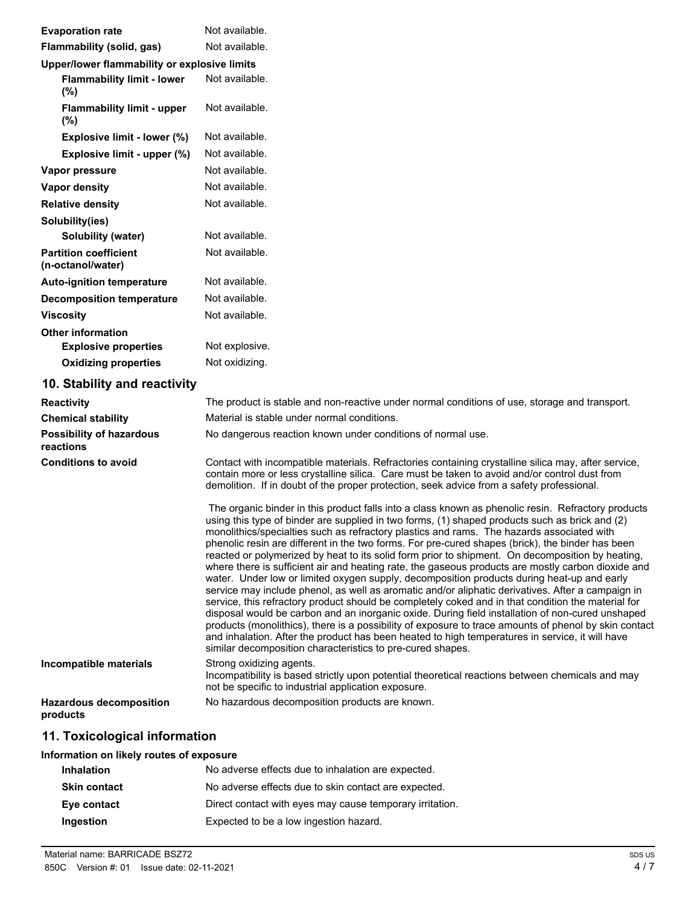| <b>Evaporation rate</b>                           | Not available.                                                                                                                                                                                                                                                                                                                                                                                                                                                                                                                                                                                                                                                                                                                                                                                                                                                                                                                                                                                                                                                                                                                                                                                                                                                                                         |
|---------------------------------------------------|--------------------------------------------------------------------------------------------------------------------------------------------------------------------------------------------------------------------------------------------------------------------------------------------------------------------------------------------------------------------------------------------------------------------------------------------------------------------------------------------------------------------------------------------------------------------------------------------------------------------------------------------------------------------------------------------------------------------------------------------------------------------------------------------------------------------------------------------------------------------------------------------------------------------------------------------------------------------------------------------------------------------------------------------------------------------------------------------------------------------------------------------------------------------------------------------------------------------------------------------------------------------------------------------------------|
| Flammability (solid, gas)                         | Not available.                                                                                                                                                                                                                                                                                                                                                                                                                                                                                                                                                                                                                                                                                                                                                                                                                                                                                                                                                                                                                                                                                                                                                                                                                                                                                         |
| Upper/lower flammability or explosive limits      |                                                                                                                                                                                                                                                                                                                                                                                                                                                                                                                                                                                                                                                                                                                                                                                                                                                                                                                                                                                                                                                                                                                                                                                                                                                                                                        |
| <b>Flammability limit - lower</b><br>(%)          | Not available.                                                                                                                                                                                                                                                                                                                                                                                                                                                                                                                                                                                                                                                                                                                                                                                                                                                                                                                                                                                                                                                                                                                                                                                                                                                                                         |
| <b>Flammability limit - upper</b><br>(%)          | Not available.                                                                                                                                                                                                                                                                                                                                                                                                                                                                                                                                                                                                                                                                                                                                                                                                                                                                                                                                                                                                                                                                                                                                                                                                                                                                                         |
| Explosive limit - lower (%)                       | Not available.                                                                                                                                                                                                                                                                                                                                                                                                                                                                                                                                                                                                                                                                                                                                                                                                                                                                                                                                                                                                                                                                                                                                                                                                                                                                                         |
| Explosive limit - upper (%)                       | Not available.                                                                                                                                                                                                                                                                                                                                                                                                                                                                                                                                                                                                                                                                                                                                                                                                                                                                                                                                                                                                                                                                                                                                                                                                                                                                                         |
| Vapor pressure                                    | Not available.                                                                                                                                                                                                                                                                                                                                                                                                                                                                                                                                                                                                                                                                                                                                                                                                                                                                                                                                                                                                                                                                                                                                                                                                                                                                                         |
| <b>Vapor density</b>                              | Not available.                                                                                                                                                                                                                                                                                                                                                                                                                                                                                                                                                                                                                                                                                                                                                                                                                                                                                                                                                                                                                                                                                                                                                                                                                                                                                         |
| <b>Relative density</b>                           | Not available.                                                                                                                                                                                                                                                                                                                                                                                                                                                                                                                                                                                                                                                                                                                                                                                                                                                                                                                                                                                                                                                                                                                                                                                                                                                                                         |
| Solubility(ies)                                   |                                                                                                                                                                                                                                                                                                                                                                                                                                                                                                                                                                                                                                                                                                                                                                                                                                                                                                                                                                                                                                                                                                                                                                                                                                                                                                        |
| <b>Solubility (water)</b>                         | Not available.                                                                                                                                                                                                                                                                                                                                                                                                                                                                                                                                                                                                                                                                                                                                                                                                                                                                                                                                                                                                                                                                                                                                                                                                                                                                                         |
| <b>Partition coefficient</b><br>(n-octanol/water) | Not available.                                                                                                                                                                                                                                                                                                                                                                                                                                                                                                                                                                                                                                                                                                                                                                                                                                                                                                                                                                                                                                                                                                                                                                                                                                                                                         |
| <b>Auto-ignition temperature</b>                  | Not available.                                                                                                                                                                                                                                                                                                                                                                                                                                                                                                                                                                                                                                                                                                                                                                                                                                                                                                                                                                                                                                                                                                                                                                                                                                                                                         |
| <b>Decomposition temperature</b>                  | Not available.                                                                                                                                                                                                                                                                                                                                                                                                                                                                                                                                                                                                                                                                                                                                                                                                                                                                                                                                                                                                                                                                                                                                                                                                                                                                                         |
| <b>Viscosity</b>                                  | Not available.                                                                                                                                                                                                                                                                                                                                                                                                                                                                                                                                                                                                                                                                                                                                                                                                                                                                                                                                                                                                                                                                                                                                                                                                                                                                                         |
| <b>Other information</b>                          |                                                                                                                                                                                                                                                                                                                                                                                                                                                                                                                                                                                                                                                                                                                                                                                                                                                                                                                                                                                                                                                                                                                                                                                                                                                                                                        |
| <b>Explosive properties</b>                       | Not explosive.                                                                                                                                                                                                                                                                                                                                                                                                                                                                                                                                                                                                                                                                                                                                                                                                                                                                                                                                                                                                                                                                                                                                                                                                                                                                                         |
| <b>Oxidizing properties</b>                       | Not oxidizing.                                                                                                                                                                                                                                                                                                                                                                                                                                                                                                                                                                                                                                                                                                                                                                                                                                                                                                                                                                                                                                                                                                                                                                                                                                                                                         |
| 10. Stability and reactivity                      |                                                                                                                                                                                                                                                                                                                                                                                                                                                                                                                                                                                                                                                                                                                                                                                                                                                                                                                                                                                                                                                                                                                                                                                                                                                                                                        |
| <b>Reactivity</b>                                 | The product is stable and non-reactive under normal conditions of use, storage and transport.                                                                                                                                                                                                                                                                                                                                                                                                                                                                                                                                                                                                                                                                                                                                                                                                                                                                                                                                                                                                                                                                                                                                                                                                          |
| <b>Chemical stability</b>                         | Material is stable under normal conditions.                                                                                                                                                                                                                                                                                                                                                                                                                                                                                                                                                                                                                                                                                                                                                                                                                                                                                                                                                                                                                                                                                                                                                                                                                                                            |
| <b>Possibility of hazardous</b><br>reactions      | No dangerous reaction known under conditions of normal use.                                                                                                                                                                                                                                                                                                                                                                                                                                                                                                                                                                                                                                                                                                                                                                                                                                                                                                                                                                                                                                                                                                                                                                                                                                            |
| <b>Conditions to avoid</b>                        | Contact with incompatible materials. Refractories containing crystalline silica may, after service,<br>contain more or less crystalline silica. Care must be taken to avoid and/or control dust from<br>demolition. If in doubt of the proper protection, seek advice from a safety professional.                                                                                                                                                                                                                                                                                                                                                                                                                                                                                                                                                                                                                                                                                                                                                                                                                                                                                                                                                                                                      |
|                                                   | The organic binder in this product falls into a class known as phenolic resin. Refractory products<br>using this type of binder are supplied in two forms, (1) shaped products such as brick and (2)<br>monolithics/specialties such as refractory plastics and rams. The hazards associated with<br>phenolic resin are different in the two forms. For pre-cured shapes (brick), the binder has been<br>reacted or polymerized by heat to its solid form prior to shipment. On decomposition by heating,<br>where there is sufficient air and heating rate, the gaseous products are mostly carbon dioxide and<br>water. Under low or limited oxygen supply, decomposition products during heat-up and early<br>service may include phenol, as well as aromatic and/or aliphatic derivatives. After a campaign in<br>service, this refractory product should be completely coked and in that condition the material for<br>disposal would be carbon and an inorganic oxide. During field installation of non-cured unshaped<br>products (monolithics), there is a possibility of exposure to trace amounts of phenol by skin contact<br>and inhalation. After the product has been heated to high temperatures in service, it will have<br>similar decomposition characteristics to pre-cured shapes. |
| Incompatible materials                            | Strong oxidizing agents.<br>Incompatibility is based strictly upon potential theoretical reactions between chemicals and may<br>not be specific to industrial application exposure.                                                                                                                                                                                                                                                                                                                                                                                                                                                                                                                                                                                                                                                                                                                                                                                                                                                                                                                                                                                                                                                                                                                    |
| <b>Hazardous decomposition</b><br>products        | No hazardous decomposition products are known.                                                                                                                                                                                                                                                                                                                                                                                                                                                                                                                                                                                                                                                                                                                                                                                                                                                                                                                                                                                                                                                                                                                                                                                                                                                         |
| 11. Toxicological information                     |                                                                                                                                                                                                                                                                                                                                                                                                                                                                                                                                                                                                                                                                                                                                                                                                                                                                                                                                                                                                                                                                                                                                                                                                                                                                                                        |
| Information on likely routes of exposure          |                                                                                                                                                                                                                                                                                                                                                                                                                                                                                                                                                                                                                                                                                                                                                                                                                                                                                                                                                                                                                                                                                                                                                                                                                                                                                                        |

| <b>Inhalation</b>   | No adverse effects due to inhalation are expected.       |
|---------------------|----------------------------------------------------------|
| <b>Skin contact</b> | No adverse effects due to skin contact are expected.     |
| Eye contact         | Direct contact with eyes may cause temporary irritation. |
| Ingestion           | Expected to be a low ingestion hazard.                   |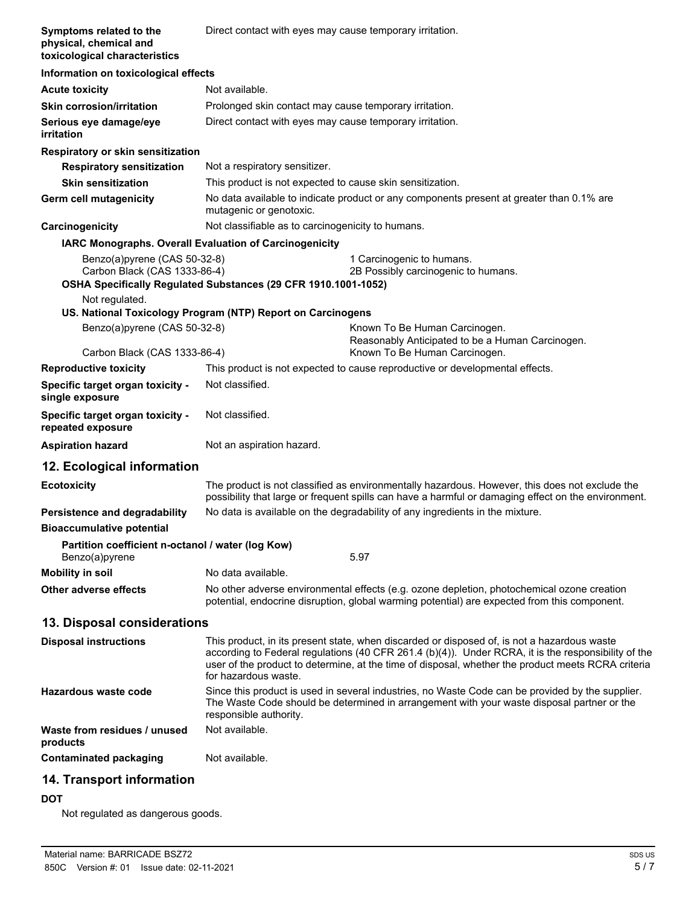| Symptoms related to the<br>physical, chemical and<br>toxicological characteristics | Direct contact with eyes may cause temporary irritation.       |                                                                                                                                                                                                                                                                                                          |
|------------------------------------------------------------------------------------|----------------------------------------------------------------|----------------------------------------------------------------------------------------------------------------------------------------------------------------------------------------------------------------------------------------------------------------------------------------------------------|
| Information on toxicological effects                                               |                                                                |                                                                                                                                                                                                                                                                                                          |
| <b>Acute toxicity</b>                                                              | Not available.                                                 |                                                                                                                                                                                                                                                                                                          |
| <b>Skin corrosion/irritation</b>                                                   | Prolonged skin contact may cause temporary irritation.         |                                                                                                                                                                                                                                                                                                          |
| Serious eye damage/eye<br>irritation                                               | Direct contact with eyes may cause temporary irritation.       |                                                                                                                                                                                                                                                                                                          |
| Respiratory or skin sensitization                                                  |                                                                |                                                                                                                                                                                                                                                                                                          |
| <b>Respiratory sensitization</b>                                                   | Not a respiratory sensitizer.                                  |                                                                                                                                                                                                                                                                                                          |
| <b>Skin sensitization</b>                                                          | This product is not expected to cause skin sensitization.      |                                                                                                                                                                                                                                                                                                          |
| <b>Germ cell mutagenicity</b>                                                      | mutagenic or genotoxic.                                        | No data available to indicate product or any components present at greater than 0.1% are                                                                                                                                                                                                                 |
| Carcinogenicity                                                                    | Not classifiable as to carcinogenicity to humans.              |                                                                                                                                                                                                                                                                                                          |
| IARC Monographs. Overall Evaluation of Carcinogenicity                             |                                                                |                                                                                                                                                                                                                                                                                                          |
| Benzo(a)pyrene (CAS 50-32-8)<br>Carbon Black (CAS 1333-86-4)                       | OSHA Specifically Regulated Substances (29 CFR 1910.1001-1052) | 1 Carcinogenic to humans.<br>2B Possibly carcinogenic to humans.                                                                                                                                                                                                                                         |
| Not regulated.                                                                     |                                                                |                                                                                                                                                                                                                                                                                                          |
|                                                                                    | US. National Toxicology Program (NTP) Report on Carcinogens    |                                                                                                                                                                                                                                                                                                          |
| Benzo(a)pyrene (CAS 50-32-8)                                                       |                                                                | Known To Be Human Carcinogen.<br>Reasonably Anticipated to be a Human Carcinogen.                                                                                                                                                                                                                        |
| Carbon Black (CAS 1333-86-4)                                                       |                                                                | Known To Be Human Carcinogen.                                                                                                                                                                                                                                                                            |
| <b>Reproductive toxicity</b>                                                       |                                                                | This product is not expected to cause reproductive or developmental effects.                                                                                                                                                                                                                             |
| Specific target organ toxicity -<br>single exposure                                | Not classified.                                                |                                                                                                                                                                                                                                                                                                          |
| Specific target organ toxicity -<br>repeated exposure                              | Not classified.                                                |                                                                                                                                                                                                                                                                                                          |
| <b>Aspiration hazard</b>                                                           | Not an aspiration hazard.                                      |                                                                                                                                                                                                                                                                                                          |
| 12. Ecological information                                                         |                                                                |                                                                                                                                                                                                                                                                                                          |
| <b>Ecotoxicity</b>                                                                 |                                                                | The product is not classified as environmentally hazardous. However, this does not exclude the<br>possibility that large or frequent spills can have a harmful or damaging effect on the environment.                                                                                                    |
| Persistence and degradability                                                      |                                                                | No data is available on the degradability of any ingredients in the mixture.                                                                                                                                                                                                                             |
| <b>Bioaccumulative potential</b>                                                   |                                                                |                                                                                                                                                                                                                                                                                                          |
| Partition coefficient n-octanol / water (log Kow)<br>Benzo(a)pyrene                |                                                                | 5.97                                                                                                                                                                                                                                                                                                     |
| <b>Mobility in soil</b>                                                            | No data available.                                             |                                                                                                                                                                                                                                                                                                          |
| Other adverse effects                                                              |                                                                | No other adverse environmental effects (e.g. ozone depletion, photochemical ozone creation<br>potential, endocrine disruption, global warming potential) are expected from this component.                                                                                                               |
| 13. Disposal considerations                                                        |                                                                |                                                                                                                                                                                                                                                                                                          |
| <b>Disposal instructions</b>                                                       | for hazardous waste.                                           | This product, in its present state, when discarded or disposed of, is not a hazardous waste<br>according to Federal regulations (40 CFR 261.4 (b)(4)). Under RCRA, it is the responsibility of the<br>user of the product to determine, at the time of disposal, whether the product meets RCRA criteria |
| <b>Hazardous waste code</b>                                                        | responsible authority.                                         | Since this product is used in several industries, no Waste Code can be provided by the supplier.<br>The Waste Code should be determined in arrangement with your waste disposal partner or the                                                                                                           |
| Waste from residues / unused<br>products                                           | Not available.                                                 |                                                                                                                                                                                                                                                                                                          |
| <b>Contaminated packaging</b>                                                      | Not available.                                                 |                                                                                                                                                                                                                                                                                                          |
| 14. Transport information                                                          |                                                                |                                                                                                                                                                                                                                                                                                          |

## **DOT**

Not regulated as dangerous goods.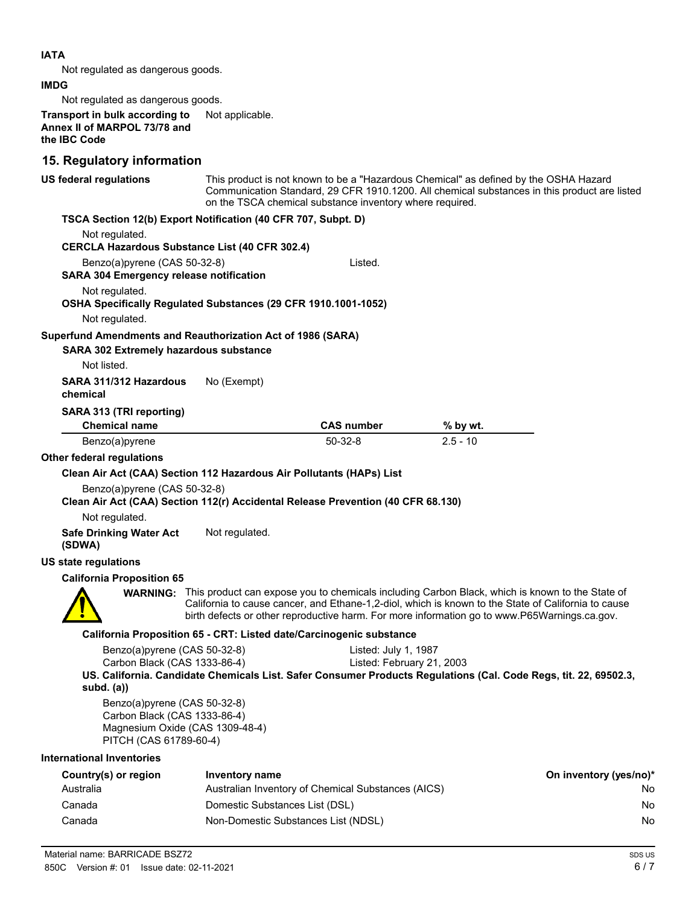### **IATA**

Not regulated as dangerous goods.

#### **IMDG**

Not regulated as dangerous goods.

**Transport in bulk according to** Not applicable. **Annex II of MARPOL 73/78 and the IBC Code**

# **15. Regulatory information**

| <b>19. Regulatory Information</b>                                                                    |                                 |                                                                                  |                                                                                                                                                                                                                                                                                                                        |                        |
|------------------------------------------------------------------------------------------------------|---------------------------------|----------------------------------------------------------------------------------|------------------------------------------------------------------------------------------------------------------------------------------------------------------------------------------------------------------------------------------------------------------------------------------------------------------------|------------------------|
| US federal regulations                                                                               |                                 | on the TSCA chemical substance inventory where required.                         | This product is not known to be a "Hazardous Chemical" as defined by the OSHA Hazard<br>Communication Standard, 29 CFR 1910.1200. All chemical substances in this product are listed                                                                                                                                   |                        |
| TSCA Section 12(b) Export Notification (40 CFR 707, Subpt. D)                                        |                                 |                                                                                  |                                                                                                                                                                                                                                                                                                                        |                        |
| Not regulated.<br><b>CERCLA Hazardous Substance List (40 CFR 302.4)</b>                              |                                 |                                                                                  |                                                                                                                                                                                                                                                                                                                        |                        |
| Benzo(a)pyrene (CAS 50-32-8)                                                                         |                                 | Listed.                                                                          |                                                                                                                                                                                                                                                                                                                        |                        |
| <b>SARA 304 Emergency release notification</b>                                                       |                                 |                                                                                  |                                                                                                                                                                                                                                                                                                                        |                        |
| Not regulated.                                                                                       |                                 |                                                                                  |                                                                                                                                                                                                                                                                                                                        |                        |
| OSHA Specifically Regulated Substances (29 CFR 1910.1001-1052)<br>Not regulated.                     |                                 |                                                                                  |                                                                                                                                                                                                                                                                                                                        |                        |
| Superfund Amendments and Reauthorization Act of 1986 (SARA)                                          |                                 |                                                                                  |                                                                                                                                                                                                                                                                                                                        |                        |
| <b>SARA 302 Extremely hazardous substance</b>                                                        |                                 |                                                                                  |                                                                                                                                                                                                                                                                                                                        |                        |
| Not listed.                                                                                          |                                 |                                                                                  |                                                                                                                                                                                                                                                                                                                        |                        |
| SARA 311/312 Hazardous<br>chemical                                                                   | No (Exempt)                     |                                                                                  |                                                                                                                                                                                                                                                                                                                        |                        |
| SARA 313 (TRI reporting)                                                                             |                                 |                                                                                  |                                                                                                                                                                                                                                                                                                                        |                        |
| <b>Chemical name</b>                                                                                 |                                 | <b>CAS number</b>                                                                | % by wt.                                                                                                                                                                                                                                                                                                               |                        |
| Benzo(a)pyrene                                                                                       |                                 | $50-32-8$                                                                        | $2.5 - 10$                                                                                                                                                                                                                                                                                                             |                        |
| Other federal regulations                                                                            |                                 |                                                                                  |                                                                                                                                                                                                                                                                                                                        |                        |
| Clean Air Act (CAA) Section 112 Hazardous Air Pollutants (HAPs) List<br>Benzo(a)pyrene (CAS 50-32-8) |                                 | Clean Air Act (CAA) Section 112(r) Accidental Release Prevention (40 CFR 68.130) |                                                                                                                                                                                                                                                                                                                        |                        |
| Not regulated.                                                                                       |                                 |                                                                                  |                                                                                                                                                                                                                                                                                                                        |                        |
| <b>Safe Drinking Water Act</b><br>(SDWA)                                                             | Not regulated.                  |                                                                                  |                                                                                                                                                                                                                                                                                                                        |                        |
| US state regulations                                                                                 |                                 |                                                                                  |                                                                                                                                                                                                                                                                                                                        |                        |
| <b>California Proposition 65</b>                                                                     |                                 |                                                                                  |                                                                                                                                                                                                                                                                                                                        |                        |
|                                                                                                      |                                 |                                                                                  | <b>WARNING:</b> This product can expose you to chemicals including Carbon Black, which is known to the State of<br>California to cause cancer, and Ethane-1,2-diol, which is known to the State of California to cause<br>birth defects or other reproductive harm. For more information go to www.P65Warnings.ca.gov. |                        |
|                                                                                                      |                                 | California Proposition 65 - CRT: Listed date/Carcinogenic substance              |                                                                                                                                                                                                                                                                                                                        |                        |
| Benzo(a)pyrene (CAS 50-32-8)                                                                         |                                 | Listed: July 1, 1987                                                             |                                                                                                                                                                                                                                                                                                                        |                        |
| Carbon Black (CAS 1333-86-4)                                                                         |                                 | Listed: February 21, 2003                                                        |                                                                                                                                                                                                                                                                                                                        |                        |
| subd. $(a)$                                                                                          |                                 |                                                                                  | US. California. Candidate Chemicals List. Safer Consumer Products Regulations (Cal. Code Regs, tit. 22, 69502.3,                                                                                                                                                                                                       |                        |
| Benzo(a)pyrene (CAS 50-32-8)<br>Carbon Black (CAS 1333-86-4)                                         | Magnesium Oxide (CAS 1309-48-4) |                                                                                  |                                                                                                                                                                                                                                                                                                                        |                        |
| PITCH (CAS 61789-60-4)                                                                               |                                 |                                                                                  |                                                                                                                                                                                                                                                                                                                        |                        |
| <b>International Inventories</b>                                                                     |                                 |                                                                                  |                                                                                                                                                                                                                                                                                                                        |                        |
| Country(s) or region                                                                                 | Inventory name                  |                                                                                  |                                                                                                                                                                                                                                                                                                                        | On inventory (yes/no)* |
| Australia                                                                                            |                                 | Australian Inventory of Chemical Substances (AICS)                               |                                                                                                                                                                                                                                                                                                                        | No                     |
| Canada                                                                                               | Domestic Substances List (DSL)  |                                                                                  |                                                                                                                                                                                                                                                                                                                        | No                     |
| Canada                                                                                               |                                 | Non-Domestic Substances List (NDSL)                                              |                                                                                                                                                                                                                                                                                                                        | No                     |
|                                                                                                      |                                 |                                                                                  |                                                                                                                                                                                                                                                                                                                        |                        |